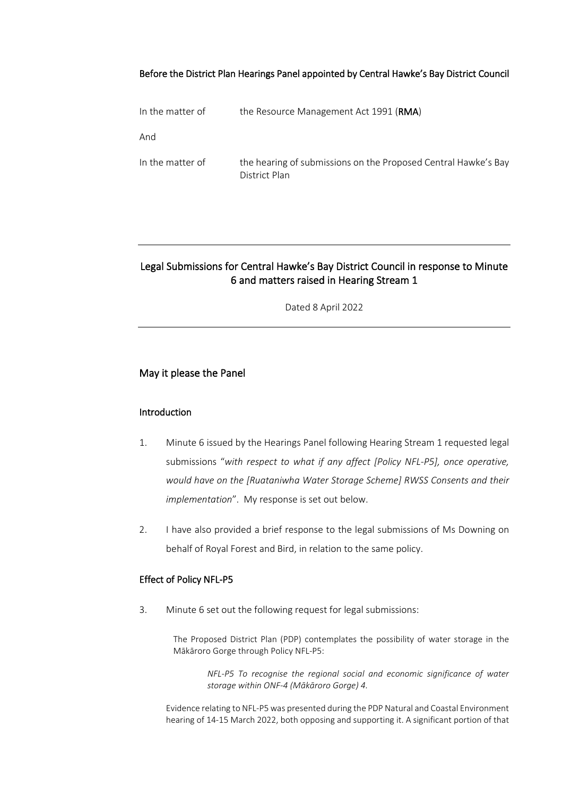## Before the District Plan Hearings Panel appointed by Central Hawke's Bay District Council

| In the matter of | the Resource Management Act 1991 ( <b>RMA</b> )                                 |
|------------------|---------------------------------------------------------------------------------|
| And              |                                                                                 |
| In the matter of | the hearing of submissions on the Proposed Central Hawke's Bay<br>District Plan |

# Legal Submissions for Central Hawke's Bay District Council in response to Minute 6 and matters raised in Hearing Stream 1

Dated 8 April 2022

# May it please the Panel

#### **Introduction**

- 1. Minute 6 issued by the Hearings Panel following Hearing Stream 1 requested legal submissions "*with respect to what if any affect [Policy NFL-P5], once operative, would have on the [Ruataniwha Water Storage Scheme] RWSS Consents and their implementation*". My response is set out below.
- 2. I have also provided a brief response to the legal submissions of Ms Downing on behalf of Royal Forest and Bird, in relation to the same policy.

## Effect of Policy NFL-P5

3. Minute 6 set out the following request for legal submissions:

The Proposed District Plan (PDP) contemplates the possibility of water storage in the Mākāroro Gorge through Policy NFL-P5:

*NFL-P5 To recognise the regional social and economic significance of water storage within ONF-4 (Mākāroro Gorge) 4.* 

Evidence relating to NFL-P5 was presented during the PDP Natural and Coastal Environment hearing of 14-15 March 2022, both opposing and supporting it. A significant portion of that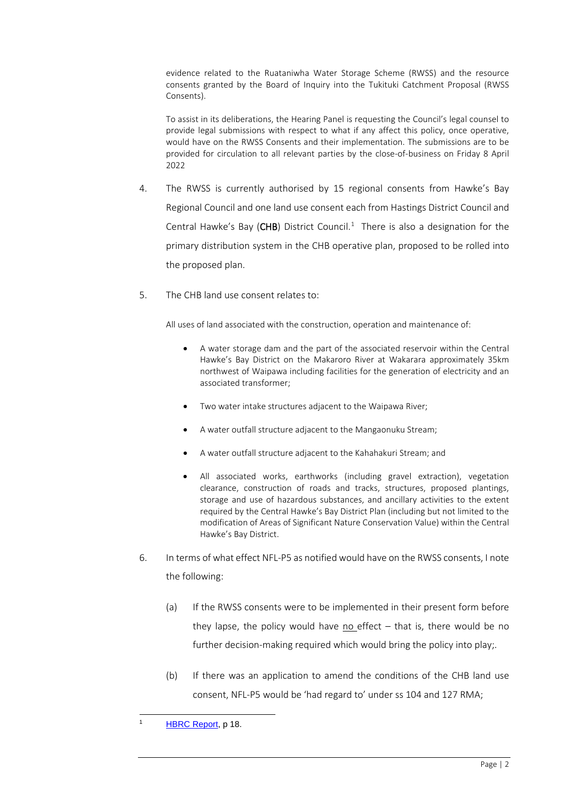evidence related to the Ruataniwha Water Storage Scheme (RWSS) and the resource consents granted by the Board of Inquiry into the Tukituki Catchment Proposal (RWSS Consents).

To assist in its deliberations, the Hearing Panel is requesting the Council's legal counsel to provide legal submissions with respect to what if any affect this policy, once operative, would have on the RWSS Consents and their implementation. The submissions are to be provided for circulation to all relevant parties by the close-of-business on Friday 8 April 2022

- 4. The RWSS is currently authorised by 15 regional consents from Hawke's Bay Regional Council and one land use consent each from Hastings District Council and Central Hawke's Bay ( $CHB$ ) District Council.<sup>[1](#page-1-0)</sup> There is also a designation for the primary distribution system in the CHB operative plan, proposed to be rolled into the proposed plan.
- 5. The CHB land use consent relates to:

All uses of land associated with the construction, operation and maintenance of:

- A water storage dam and the part of the associated reservoir within the Central Hawke's Bay District on the Makaroro River at Wakarara approximately 35km northwest of Waipawa including facilities for the generation of electricity and an associated transformer;
- Two water intake structures adjacent to the Waipawa River;
- A water outfall structure adjacent to the Mangaonuku Stream;
- A water outfall structure adjacent to the Kahahakuri Stream; and
- All associated works, earthworks (including gravel extraction), vegetation clearance, construction of roads and tracks, structures, proposed plantings, storage and use of hazardous substances, and ancillary activities to the extent required by the Central Hawke's Bay District Plan (including but not limited to the modification of Areas of Significant Nature Conservation Value) within the Central Hawke's Bay District.
- 6. In terms of what effect NFL-P5 as notified would have on the RWSS consents, I note the following:
	- (a) If the RWSS consents were to be implemented in their present form before they lapse, the policy would have no effect  $-$  that is, there would be no further decision-making required which would bring the policy into play;.
	- (b) If there was an application to amend the conditions of the CHB land use consent, NFL-P5 would be 'had regard to' under ss 104 and 127 RMA;

<span id="page-1-0"></span>[HBRC Report,](https://www.hbrc.govt.nz/assets/Document-Library/RWSS-Reports/RWSS-Review-Report-5May2017-final.pdf) p 18.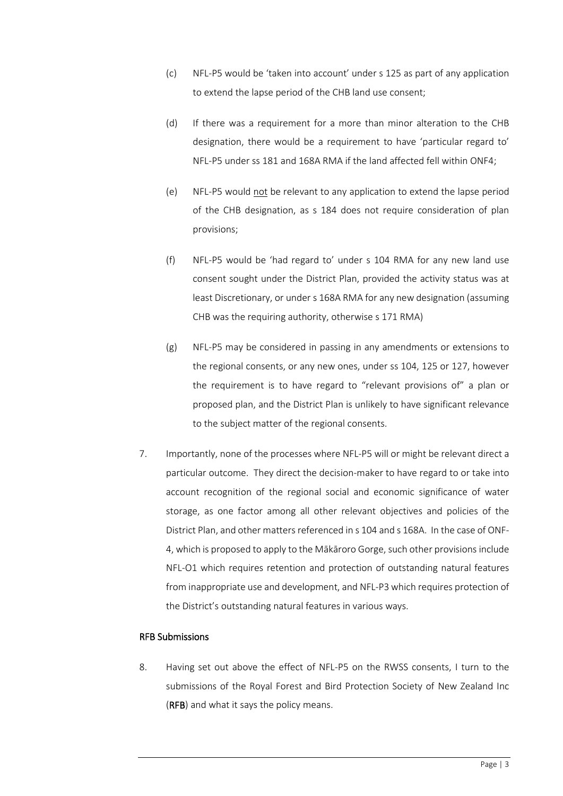- (c) NFL-P5 would be 'taken into account' under s 125 as part of any application to extend the lapse period of the CHB land use consent;
- (d) If there was a requirement for a more than minor alteration to the CHB designation, there would be a requirement to have 'particular regard to' NFL-P5 under ss 181 and 168A RMA if the land affected fell within ONF4;
- (e) NFL-P5 would not be relevant to any application to extend the lapse period of the CHB designation, as s 184 does not require consideration of plan provisions;
- (f) NFL-P5 would be 'had regard to' under s 104 RMA for any new land use consent sought under the District Plan, provided the activity status was at least Discretionary, or under s 168A RMA for any new designation (assuming CHB was the requiring authority, otherwise s 171 RMA)
- (g) NFL-P5 may be considered in passing in any amendments or extensions to the regional consents, or any new ones, under ss 104, 125 or 127, however the requirement is to have regard to "relevant provisions of" a plan or proposed plan, and the District Plan is unlikely to have significant relevance to the subject matter of the regional consents.
- 7. Importantly, none of the processes where NFL-P5 will or might be relevant direct a particular outcome. They direct the decision-maker to have regard to or take into account recognition of the regional social and economic significance of water storage, as one factor among all other relevant objectives and policies of the District Plan, and other matters referenced in s 104 and s 168A. In the case of ONF-4, which is proposed to apply to the Mākāroro Gorge, such other provisions include NFL-O1 which requires retention and protection of outstanding natural features from inappropriate use and development, and NFL-P3 which requires protection of the District's outstanding natural features in various ways.

## RFB Submissions

8. Having set out above the effect of NFL-P5 on the RWSS consents, I turn to the submissions of the Royal Forest and Bird Protection Society of New Zealand Inc (RFB) and what it says the policy means.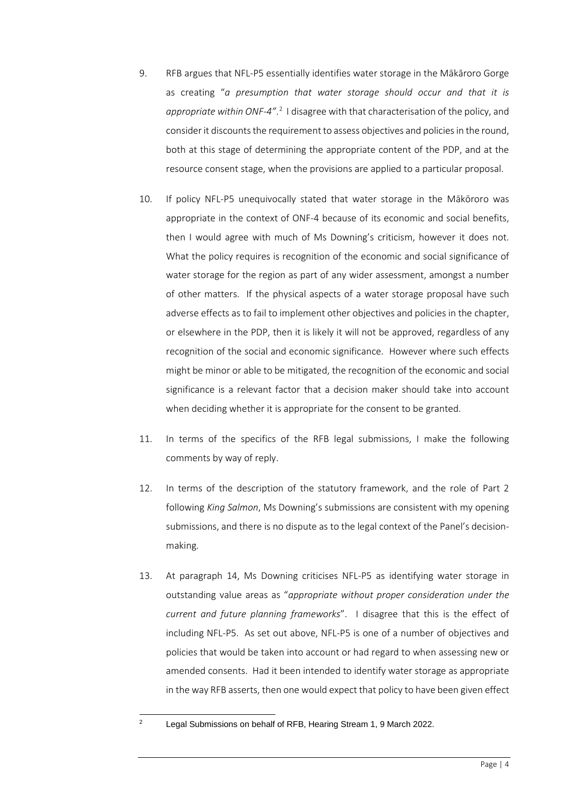- 9. RFB argues that NFL-P5 essentially identifies water storage in the Mākāroro Gorge as creating "*a presumption that water storage should occur and that it is*  appropriate within ONF-4".<sup>[2](#page-3-0)</sup> I disagree with that characterisation of the policy, and consider it discounts the requirement to assess objectives and policies in the round, both at this stage of determining the appropriate content of the PDP, and at the resource consent stage, when the provisions are applied to a particular proposal.
- 10. If policy NFL-P5 unequivocally stated that water storage in the Mākōroro was appropriate in the context of ONF-4 because of its economic and social benefits, then I would agree with much of Ms Downing's criticism, however it does not. What the policy requires is recognition of the economic and social significance of water storage for the region as part of any wider assessment, amongst a number of other matters. If the physical aspects of a water storage proposal have such adverse effects as to fail to implement other objectives and policies in the chapter, or elsewhere in the PDP, then it is likely it will not be approved, regardless of any recognition of the social and economic significance. However where such effects might be minor or able to be mitigated, the recognition of the economic and social significance is a relevant factor that a decision maker should take into account when deciding whether it is appropriate for the consent to be granted.
- 11. In terms of the specifics of the RFB legal submissions, I make the following comments by way of reply.
- 12. In terms of the description of the statutory framework, and the role of Part 2 following *King Salmon*, Ms Downing's submissions are consistent with my opening submissions, and there is no dispute as to the legal context of the Panel's decisionmaking.
- 13. At paragraph 14, Ms Downing criticises NFL-P5 as identifying water storage in outstanding value areas as "*appropriate without proper consideration under the current and future planning frameworks*". I disagree that this is the effect of including NFL-P5. As set out above, NFL-P5 is one of a number of objectives and policies that would be taken into account or had regard to when assessing new or amended consents. Had it been intended to identify water storage as appropriate in the way RFB asserts, then one would expect that policy to have been given effect

<span id="page-3-0"></span><sup>2</sup> Legal Submissions on behalf of RFB, Hearing Stream 1, 9 March 2022.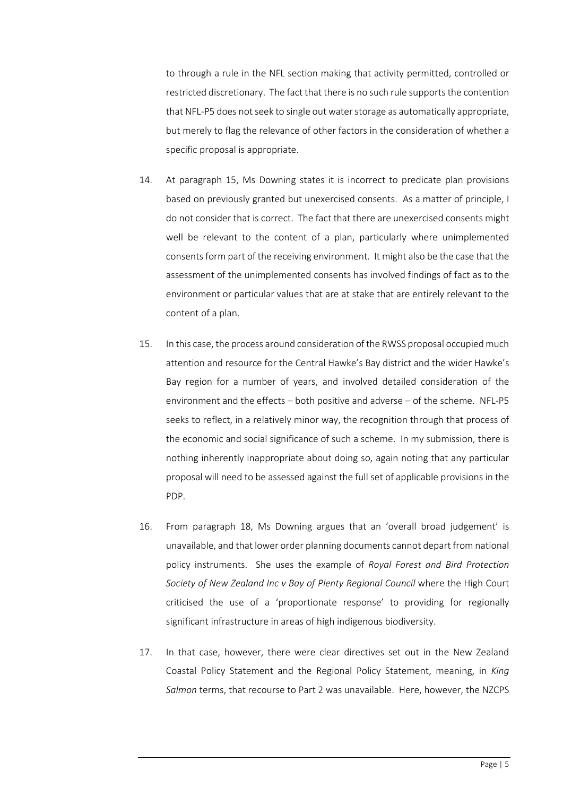to through a rule in the NFL section making that activity permitted, controlled or restricted discretionary. The fact that there is no such rule supports the contention that NFL-P5 does not seek to single out water storage as automatically appropriate, but merely to flag the relevance of other factors in the consideration of whether a specific proposal is appropriate.

- 14. At paragraph 15, Ms Downing states it is incorrect to predicate plan provisions based on previously granted but unexercised consents. As a matter of principle, I do not consider that is correct. The fact that there are unexercised consents might well be relevant to the content of a plan, particularly where unimplemented consents form part of the receiving environment. It might also be the case that the assessment of the unimplemented consents has involved findings of fact as to the environment or particular values that are at stake that are entirely relevant to the content of a plan.
- 15. In this case, the process around consideration of the RWSS proposal occupied much attention and resource for the Central Hawke's Bay district and the wider Hawke's Bay region for a number of years, and involved detailed consideration of the environment and the effects – both positive and adverse – of the scheme. NFL-P5 seeks to reflect, in a relatively minor way, the recognition through that process of the economic and social significance of such a scheme. In my submission, there is nothing inherently inappropriate about doing so, again noting that any particular proposal will need to be assessed against the full set of applicable provisions in the PDP.
- 16. From paragraph 18, Ms Downing argues that an 'overall broad judgement' is unavailable, and that lower order planning documents cannot depart from national policy instruments. She uses the example of *Royal Forest and Bird Protection Society of New Zealand Inc v Bay of Plenty Regional Council where the High Court* criticised the use of a 'proportionate response' to providing for regionally significant infrastructure in areas of high indigenous biodiversity.
- 17. In that case, however, there were clear directives set out in the New Zealand Coastal Policy Statement and the Regional Policy Statement, meaning, in *King Salmon* terms, that recourse to Part 2 was unavailable. Here, however, the NZCPS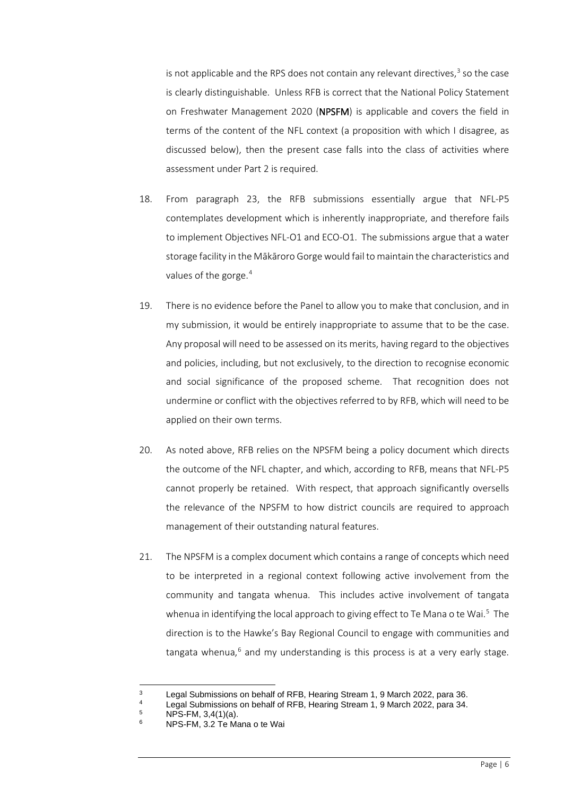is not applicable and the RPS does not contain any relevant directives, [3](#page-5-0) so the case is clearly distinguishable. Unless RFB is correct that the National Policy Statement on Freshwater Management 2020 (NPSFM) is applicable and covers the field in terms of the content of the NFL context (a proposition with which I disagree, as discussed below), then the present case falls into the class of activities where assessment under Part 2 is required.

- 18. From paragraph 23, the RFB submissions essentially argue that NFL-P5 contemplates development which is inherently inappropriate, and therefore fails to implement Objectives NFL-O1 and ECO-O1. The submissions argue that a water storage facility in the Mākāroro Gorge would fail to maintain the characteristics and values of the gorge.<sup>[4](#page-5-1)</sup>
- 19. There is no evidence before the Panel to allow you to make that conclusion, and in my submission, it would be entirely inappropriate to assume that to be the case. Any proposal will need to be assessed on its merits, having regard to the objectives and policies, including, but not exclusively, to the direction to recognise economic and social significance of the proposed scheme. That recognition does not undermine or conflict with the objectives referred to by RFB, which will need to be applied on their own terms.
- 20. As noted above, RFB relies on the NPSFM being a policy document which directs the outcome of the NFL chapter, and which, according to RFB, means that NFL-P5 cannot properly be retained. With respect, that approach significantly oversells the relevance of the NPSFM to how district councils are required to approach management of their outstanding natural features.
- 21. The NPSFM is a complex document which contains a range of concepts which need to be interpreted in a regional context following active involvement from the community and tangata whenua. This includes active involvement of tangata whenua in identifying the local approach to giving effect to Te Mana o te Wai.<sup>[5](#page-5-2)</sup> The direction is to the Hawke's Bay Regional Council to engage with communities and tangata whenua, $6$  and my understanding is this process is at a very early stage.

<sup>&</sup>lt;sup>3</sup> Legal Submissions on behalf of RFB, Hearing Stream 1, 9 March 2022, para 36.<br><sup>4</sup> Legal Submissions on bobalf of PEB, Hearing Stream 1, 9 March 2022, para 34.

<span id="page-5-3"></span><span id="page-5-2"></span><span id="page-5-1"></span><span id="page-5-0"></span><sup>&</sup>lt;sup>4</sup> Legal Submissions on behalf of RFB, Hearing Stream 1, 9 March 2022, para 34.

 $^{5}$  NPS-FM, 3,4(1)(a).

<sup>6</sup> NPS-FM, 3.2 Te Mana o te Wai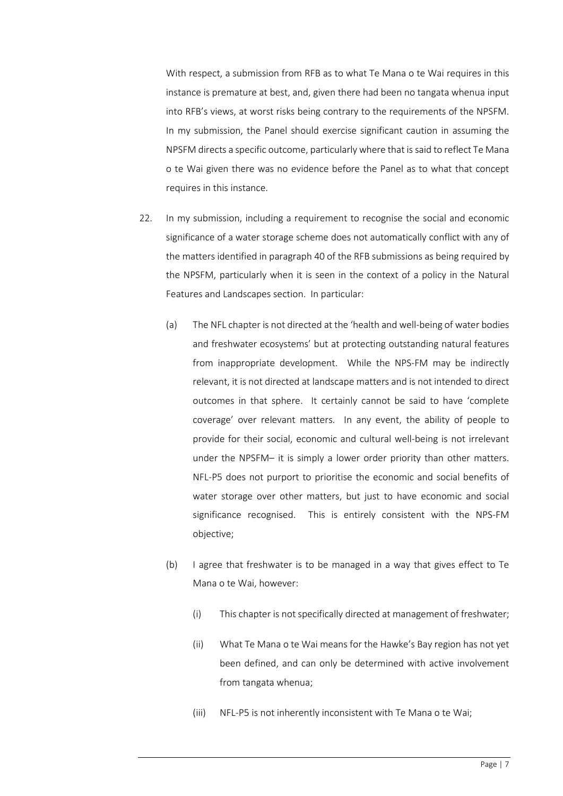With respect, a submission from RFB as to what Te Mana o te Wai requires in this instance is premature at best, and, given there had been no tangata whenua input into RFB's views, at worst risks being contrary to the requirements of the NPSFM. In my submission, the Panel should exercise significant caution in assuming the NPSFM directs a specific outcome, particularly where that is said to reflect Te Mana o te Wai given there was no evidence before the Panel as to what that concept requires in this instance.

- 22. In my submission, including a requirement to recognise the social and economic significance of a water storage scheme does not automatically conflict with any of the matters identified in paragraph 40 of the RFB submissions as being required by the NPSFM, particularly when it is seen in the context of a policy in the Natural Features and Landscapes section. In particular:
	- (a) The NFL chapter is not directed at the 'health and well-being of water bodies and freshwater ecosystems' but at protecting outstanding natural features from inappropriate development. While the NPS-FM may be indirectly relevant, it is not directed at landscape matters and is not intended to direct outcomes in that sphere. It certainly cannot be said to have 'complete coverage' over relevant matters. In any event, the ability of people to provide for their social, economic and cultural well-being is not irrelevant under the NPSFM– it is simply a lower order priority than other matters. NFL-P5 does not purport to prioritise the economic and social benefits of water storage over other matters, but just to have economic and social significance recognised. This is entirely consistent with the NPS-FM objective;
	- (b) I agree that freshwater is to be managed in a way that gives effect to Te Mana o te Wai, however:
		- (i) This chapter is not specifically directed at management of freshwater;
		- (ii) What Te Mana o te Wai means for the Hawke's Bay region has not yet been defined, and can only be determined with active involvement from tangata whenua;
		- (iii) NFL-P5 is not inherently inconsistent with Te Mana o te Wai;